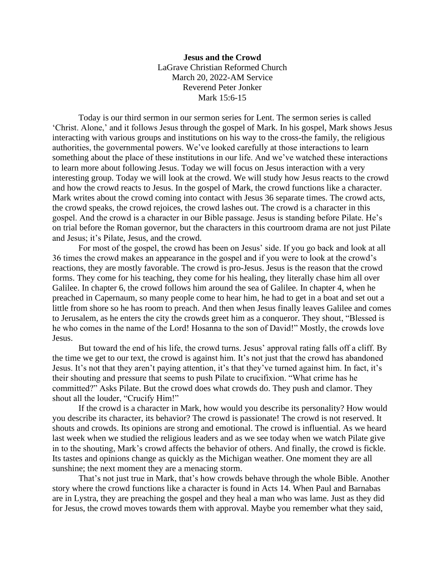## **Jesus and the Crowd** LaGrave Christian Reformed Church March 20, 2022-AM Service Reverend Peter Jonker Mark 15:6-15

Today is our third sermon in our sermon series for Lent. The sermon series is called 'Christ. Alone,' and it follows Jesus through the gospel of Mark. In his gospel, Mark shows Jesus interacting with various groups and institutions on his way to the cross-the family, the religious authorities, the governmental powers. We've looked carefully at those interactions to learn something about the place of these institutions in our life. And we've watched these interactions to learn more about following Jesus. Today we will focus on Jesus interaction with a very interesting group. Today we will look at the crowd. We will study how Jesus reacts to the crowd and how the crowd reacts to Jesus. In the gospel of Mark, the crowd functions like a character. Mark writes about the crowd coming into contact with Jesus 36 separate times. The crowd acts, the crowd speaks, the crowd rejoices, the crowd lashes out. The crowd is a character in this gospel. And the crowd is a character in our Bible passage. Jesus is standing before Pilate. He's on trial before the Roman governor, but the characters in this courtroom drama are not just Pilate and Jesus; it's Pilate, Jesus, and the crowd.

For most of the gospel, the crowd has been on Jesus' side. If you go back and look at all 36 times the crowd makes an appearance in the gospel and if you were to look at the crowd's reactions, they are mostly favorable. The crowd is pro-Jesus. Jesus is the reason that the crowd forms. They come for his teaching, they come for his healing, they literally chase him all over Galilee. In chapter 6, the crowd follows him around the sea of Galilee. In chapter 4, when he preached in Capernaum, so many people come to hear him, he had to get in a boat and set out a little from shore so he has room to preach. And then when Jesus finally leaves Galilee and comes to Jerusalem, as he enters the city the crowds greet him as a conqueror. They shout, "Blessed is he who comes in the name of the Lord! Hosanna to the son of David!" Mostly, the crowds love Jesus.

But toward the end of his life, the crowd turns. Jesus' approval rating falls off a cliff. By the time we get to our text, the crowd is against him. It's not just that the crowd has abandoned Jesus. It's not that they aren't paying attention, it's that they've turned against him. In fact, it's their shouting and pressure that seems to push Pilate to crucifixion. "What crime has he committed?" Asks Pilate. But the crowd does what crowds do. They push and clamor. They shout all the louder, "Crucify Him!"

If the crowd is a character in Mark, how would you describe its personality? How would you describe its character, its behavior? The crowd is passionate! The crowd is not reserved. It shouts and crowds. Its opinions are strong and emotional. The crowd is influential. As we heard last week when we studied the religious leaders and as we see today when we watch Pilate give in to the shouting, Mark's crowd affects the behavior of others. And finally, the crowd is fickle. Its tastes and opinions change as quickly as the Michigan weather. One moment they are all sunshine; the next moment they are a menacing storm.

That's not just true in Mark, that's how crowds behave through the whole Bible. Another story where the crowd functions like a character is found in Acts 14. When Paul and Barnabas are in Lystra, they are preaching the gospel and they heal a man who was lame. Just as they did for Jesus, the crowd moves towards them with approval. Maybe you remember what they said,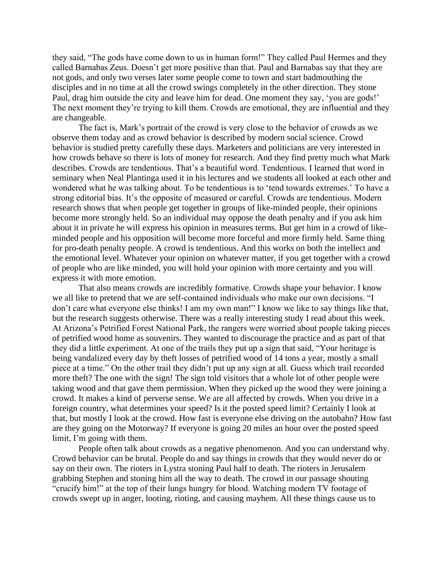they said, "The gods have come down to us in human form!" They called Paul Hermes and they called Barnabas Zeus. Doesn't get more positive than that. Paul and Barnabas say that they are not gods, and only two verses later some people come to town and start badmouthing the disciples and in no time at all the crowd swings completely in the other direction. They stone Paul, drag him outside the city and leave him for dead. One moment they say, 'you are gods!' The next moment they're trying to kill them. Crowds are emotional, they are influential and they are changeable.

The fact is, Mark's portrait of the crowd is very close to the behavior of crowds as we observe them today and as crowd behavior is described by modern social science. Crowd behavior is studied pretty carefully these days. Marketers and politicians are very interested in how crowds behave so there is lots of money for research. And they find pretty much what Mark describes. Crowds are tendentious. That's a beautiful word. Tendentious. I learned that word in seminary when Neal Plantinga used it in his lectures and we students all looked at each other and wondered what he was talking about. To be tendentious is to 'tend towards extremes.' To have a strong editorial bias. It's the opposite of measured or careful. Crowds are tendentious. Modern research shows that when people get together in groups of like-minded people, their opinions become more strongly held. So an individual may oppose the death penalty and if you ask him about it in private he will express his opinion in measures terms. But get him in a crowd of likeminded people and his opposition will become more forceful and more firmly held. Same thing for pro-death penalty people. A crowd is tendentious. And this works on both the intellect and the emotional level. Whatever your opinion on whatever matter, if you get together with a crowd of people who are like minded, you will hold your opinion with more certainty and you will express it with more emotion.

That also means crowds are incredibly formative. Crowds shape your behavior. I know we all like to pretend that we are self-contained individuals who make our own decisions. "I don't care what everyone else thinks! I am my own man!" I know we like to say things like that, but the research suggests otherwise. There was a really interesting study I read about this week. At Arizona's Petrified Forest National Park, the rangers were worried about people taking pieces of petrified wood home as souvenirs. They wanted to discourage the practice and as part of that they did a little experiment. At one of the trails they put up a sign that said, "Your heritage is being vandalized every day by theft losses of petrified wood of 14 tons a year, mostly a small piece at a time." On the other trail they didn't put up any sign at all. Guess which trail recorded more theft? The one with the sign! The sign told visitors that a whole lot of other people were taking wood and that gave them permission. When they picked up the wood they were joining a crowd. It makes a kind of perverse sense. We are all affected by crowds. When you drive in a foreign country, what determines your speed? Is it the posted speed limit? Certainly I look at that, but mostly I look at the crowd. How fast is everyone else driving on the autobahn? How fast are they going on the Motorway? If everyone is going 20 miles an hour over the posted speed limit, I'm going with them.

People often talk about crowds as a negative phenomenon. And you can understand why. Crowd behavior can be brutal. People do and say things in crowds that they would never do or say on their own. The rioters in Lystra stoning Paul half to death. The rioters in Jerusalem grabbing Stephen and stoning him all the way to death. The crowd in our passage shouting "crucify him!" at the top of their lungs hungry for blood. Watching modern TV footage of crowds swept up in anger, looting, rioting, and causing mayhem. All these things cause us to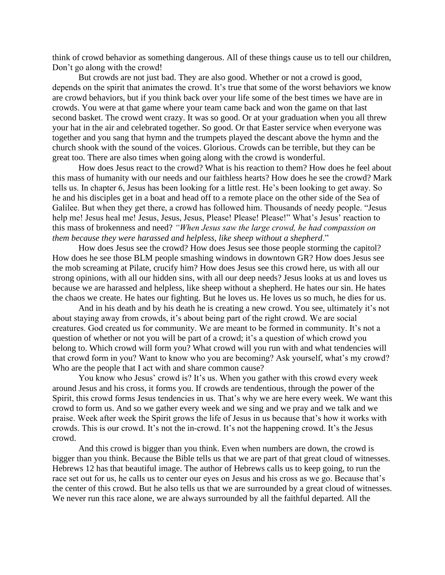think of crowd behavior as something dangerous. All of these things cause us to tell our children, Don't go along with the crowd!

But crowds are not just bad. They are also good. Whether or not a crowd is good, depends on the spirit that animates the crowd. It's true that some of the worst behaviors we know are crowd behaviors, but if you think back over your life some of the best times we have are in crowds. You were at that game where your team came back and won the game on that last second basket. The crowd went crazy. It was so good. Or at your graduation when you all threw your hat in the air and celebrated together. So good. Or that Easter service when everyone was together and you sang that hymn and the trumpets played the descant above the hymn and the church shook with the sound of the voices. Glorious. Crowds can be terrible, but they can be great too. There are also times when going along with the crowd is wonderful.

How does Jesus react to the crowd? What is his reaction to them? How does he feel about this mass of humanity with our needs and our faithless hearts? How does he see the crowd? Mark tells us. In chapter 6, Jesus has been looking for a little rest. He's been looking to get away. So he and his disciples get in a boat and head off to a remote place on the other side of the Sea of Galilee. But when they get there, a crowd has followed him. Thousands of needy people. "Jesus help me! Jesus heal me! Jesus, Jesus, Jesus, Please! Please! Please!" What's Jesus' reaction to this mass of brokenness and need? *"When Jesus saw the large crowd, he had compassion on them because they were harassed and helpless, like sheep without a shepherd*."

How does Jesus see the crowd? How does Jesus see those people storming the capitol? How does he see those BLM people smashing windows in downtown GR? How does Jesus see the mob screaming at Pilate, crucify him? How does Jesus see this crowd here, us with all our strong opinions, with all our hidden sins, with all our deep needs? Jesus looks at us and loves us because we are harassed and helpless, like sheep without a shepherd. He hates our sin. He hates the chaos we create. He hates our fighting. But he loves us. He loves us so much, he dies for us.

And in his death and by his death he is creating a new crowd. You see, ultimately it's not about staying away from crowds, it's about being part of the right crowd. We are social creatures. God created us for community. We are meant to be formed in community. It's not a question of whether or not you will be part of a crowd; it's a question of which crowd you belong to. Which crowd will form you? What crowd will you run with and what tendencies will that crowd form in you? Want to know who you are becoming? Ask yourself, what's my crowd? Who are the people that I act with and share common cause?

You know who Jesus' crowd is? It's us. When you gather with this crowd every week around Jesus and his cross, it forms you. If crowds are tendentious, through the power of the Spirit, this crowd forms Jesus tendencies in us. That's why we are here every week. We want this crowd to form us. And so we gather every week and we sing and we pray and we talk and we praise. Week after week the Spirit grows the life of Jesus in us because that's how it works with crowds. This is our crowd. It's not the in-crowd. It's not the happening crowd. It's the Jesus crowd.

And this crowd is bigger than you think. Even when numbers are down, the crowd is bigger than you think. Because the Bible tells us that we are part of that great cloud of witnesses. Hebrews 12 has that beautiful image. The author of Hebrews calls us to keep going, to run the race set out for us, he calls us to center our eyes on Jesus and his cross as we go. Because that's the center of this crowd. But he also tells us that we are surrounded by a great cloud of witnesses. We never run this race alone, we are always surrounded by all the faithful departed. All the